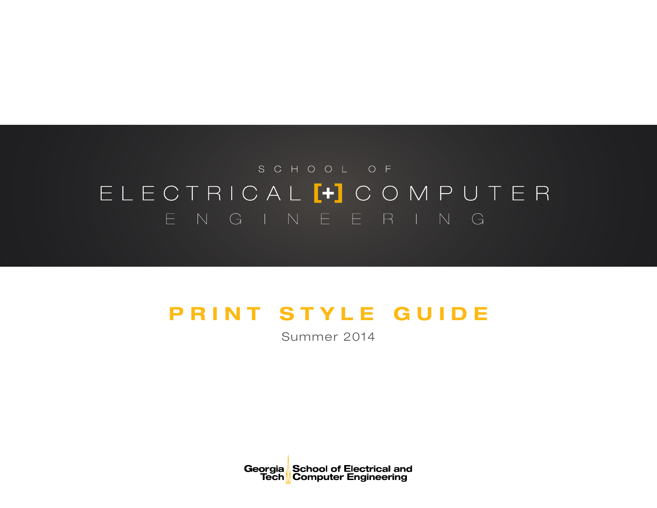# SCHOOL OF ELECTRICAL<sup>1</sup> COMPUTER ENGINEERING

## PRINT STYLE GUIDE

Summer 2014

Georgia School of Electrical and<br>Tech Computer Engineering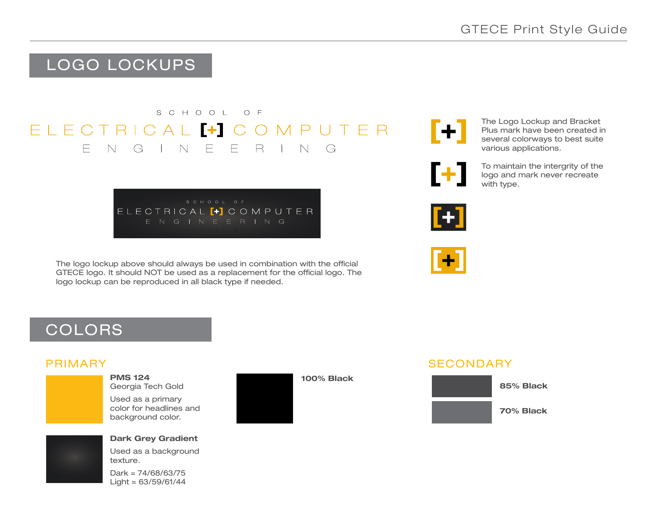### LOGO LOCKUPS

#### SCHOOL OF  $FIFCTRICAI$   $H C$ OMPUTFR  $F N G N$  $F$  $\Box$  Fig.  $\mathsf{R}$  $\Box$  N G

ELECTRICAL<sup>[+]</sup> COMPUTER

The logo lockup above should always be used in combination with the official GTECE logo. It should NOT be used as a replacement for the official logo. The logo lockup can be reproduced in all black type if needed.

 $\lbrack + \rbrack$ 

The Logo Lockup and Bracket Plus mark have been created in several colorways to best suite various applications.

To maintain the intergrity of the F+1 logo and mark never recreate with type.





### COLORS

#### PRIMARY

PMS 124 Georgia Tech Gold

Used as a primary color for headlines and background color.



### Dark Grey Gradient

Used as a background texture.

Dark = 74/68/63/75  $Liah = 63/59/61/44$ 



100% Black

### **SECONDARY**

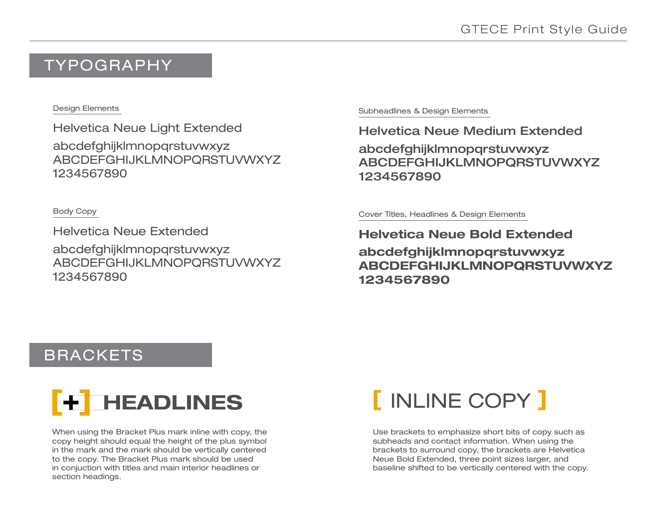### TYPOGRAPHY

#### Design Elements

Helvetica Neue Light Extended abcdefghijklmnopqrstuvwxyz ABCDEFGHIJKLMNOPQRSTUVWXYZ 1234567890

Body Copy

Helvetica Neue Extended abcdefghijklmnopqrstuvwxyz ABCDEFGHIJKLMNOPQRSTUVWXYZ 1234567890

Subheadlines & Design Elements

Helvetica Neue Medium Extended

abcdefghijklmnopqrstuvwxyz ABCDEFGHIJKLMNOPQRSTUVWXYZ 1234567890

Cover Titles, Headlines & Design Elements

Helvetica Neue Bold Extended abcdefghijklmnopqrstuvwxyz ABCDEFGHIJKLMNOPQRSTUVWXYZ 1234567890

### BRACKETS



When using the Bracket Plus mark inline with copy, the copy height should equal the height of the plus symbol in the mark and the mark should be vertically centered to the copy. The Bracket Plus mark should be used in conjuction with titles and main interior headlines or section headings.

# **THEADLINES** [ INLINE COPY ]

Use brackets to emphasize short bits of copy such as subheads and contact information. When using the brackets to surround copy, the brackets are Helvetica Neue Bold Extended, three point sizes larger, and baseline shifted to be vertically centered with the copy.